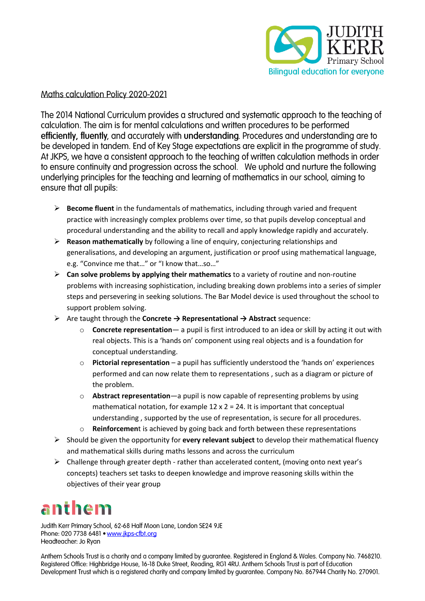

#### Maths calculation Policy 2020-2021

The 2014 National Curriculum provides a structured and systematic approach to the teaching of calculation. The aim is for mental calculations and written procedures to be performed efficiently, fluently, and accurately with understanding. Procedures and understanding are to be developed in tandem. End of Key Stage expectations are explicit in the programme of study. At JKPS, we have a consistent approach to the teaching of written calculation methods in order to ensure continuity and progression across the school. We uphold and nurture the following underlying principles for the teaching and learning of mathematics in our school, aiming to ensure that all pupils:

- ➢ **Become fluent** in the fundamentals of mathematics, including through varied and frequent practice with increasingly complex problems over time, so that pupils develop conceptual and procedural understanding and the ability to recall and apply knowledge rapidly and accurately.
- ➢ **Reason mathematically** by following a line of enquiry, conjecturing relationships and generalisations, and developing an argument, justification or proof using mathematical language, e.g. "Convince me that…" or "I know that…so…"
- ➢ **Can solve problems by applying their mathematics** to a variety of routine and non-routine problems with increasing sophistication, including breaking down problems into a series of simpler steps and persevering in seeking solutions. The Bar Model device is used throughout the school to support problem solving.
- ➢ Are taught through the **Concrete → Representational → Abstract** sequence:
	- o **Concrete representation** a pupil is first introduced to an idea or skill by acting it out with real objects. This is a 'hands on' component using real objects and is a foundation for conceptual understanding.
	- o **Pictorial representation** a pupil has sufficiently understood the 'hands on' experiences performed and can now relate them to representations , such as a diagram or picture of the problem.
	- o **Abstract representation**—a pupil is now capable of representing problems by using mathematical notation, for example  $12 \times 2 = 24$ . It is important that conceptual understanding , supported by the use of representation, is secure for all procedures.
	- o **Reinforcemen**t is achieved by going back and forth between these representations
- ➢ Should be given the opportunity for **every relevant subject** to develop their mathematical fluency and mathematical skills during maths lessons and across the curriculum
- $\triangleright$  Challenge through greater depth rather than accelerated content, (moving onto next year's concepts) teachers set tasks to deepen knowledge and improve reasoning skills within the objectives of their year group

## anthem

Judith Kerr Primary School, 62-68 Half Moon Lane, London SE24 9JE Phone: 020 7738 6481 . www.jkps-cfbt.org Headteacher: Jo Ryan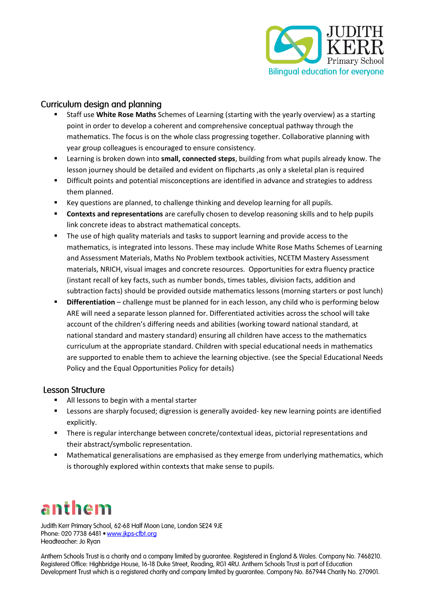

### Curriculum design and planning

- Staff use **White Rose Maths** Schemes of Learning (starting with the yearly overview) as a starting point in order to develop a coherent and comprehensive conceptual pathway through the mathematics. The focus is on the whole class progressing together. Collaborative planning with year group colleagues is encouraged to ensure consistency.
- Learning is broken down into **small, connected steps**, building from what pupils already know. The lesson journey should be detailed and evident on flipcharts ,as only a skeletal plan is required
- Difficult points and potential misconceptions are identified in advance and strategies to address them planned.
- Key questions are planned, to challenge thinking and develop learning for all pupils.
- **EXECONTEXTS and representations** are carefully chosen to develop reasoning skills and to help pupils link concrete ideas to abstract mathematical concepts.
- The use of high quality materials and tasks to support learning and provide access to the mathematics, is integrated into lessons. These may include White Rose Maths Schemes of Learning and Assessment Materials, Maths No Problem textbook activities, NCETM Mastery Assessment materials, NRICH, visual images and concrete resources. Opportunities for extra fluency practice (instant recall of key facts, such as number bonds, times tables, division facts, addition and subtraction facts) should be provided outside mathematics lessons (morning starters or post lunch)
- **E** Differentiation challenge must be planned for in each lesson, any child who is performing below ARE will need a separate lesson planned for. Differentiated activities across the school will take account of the children's differing needs and abilities (working toward national standard, at national standard and mastery standard) ensuring all children have access to the mathematics curriculum at the appropriate standard. Children with special educational needs in mathematics are supported to enable them to achieve the learning objective. (see the Special Educational Needs Policy and the Equal Opportunities Policy for details)

#### **Lesson Structure**

- All lessons to begin with a mental starter
- Lessons are sharply focused; digression is generally avoided- key new learning points are identified explicitly.
- There is regular interchange between concrete/contextual ideas, pictorial representations and their abstract/symbolic representation.
- Mathematical generalisations are emphasised as they emerge from underlying mathematics, which is thoroughly explored within contexts that make sense to pupils.

# anthem

Judith Kerr Primary School, 62-68 Half Moon Lane, London SE24 9JE Phone: 020 7738 6481 . www.jkps-cfbt.org Headteacher: Jo Ryan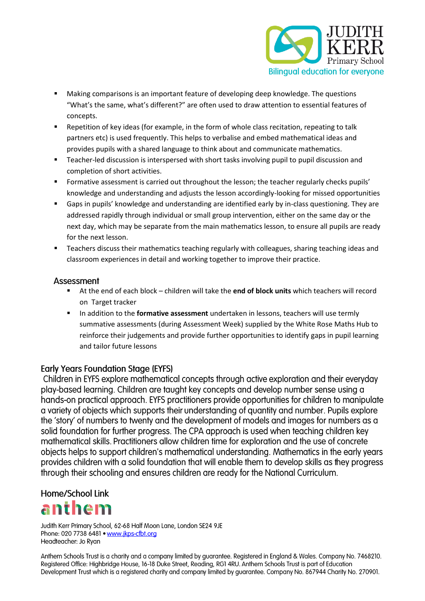

- Making comparisons is an important feature of developing deep knowledge. The questions "What's the same, what's different?" are often used to draw attention to essential features of concepts.
- Repetition of key ideas (for example, in the form of whole class recitation, repeating to talk partners etc) is used frequently. This helps to verbalise and embed mathematical ideas and provides pupils with a shared language to think about and communicate mathematics.
- Teacher-led discussion is interspersed with short tasks involving pupil to pupil discussion and completion of short activities.
- **•** Formative assessment is carried out throughout the lesson; the teacher regularly checks pupils' knowledge and understanding and adjusts the lesson accordingly-looking for missed opportunities
- Gaps in pupils' knowledge and understanding are identified early by in-class questioning. They are addressed rapidly through individual or small group intervention, either on the same day or the next day, which may be separate from the main mathematics lesson, to ensure all pupils are ready for the next lesson.
- Teachers discuss their mathematics teaching regularly with colleagues, sharing teaching ideas and classroom experiences in detail and working together to improve their practice.

#### Assessment

- At the end of each block children will take the **end of block units** which teachers will record on Target tracker
- In addition to the **formative assessment** undertaken in lessons, teachers will use termly summative assessments (during Assessment Week) supplied by the White Rose Maths Hub to reinforce their judgements and provide further opportunities to identify gaps in pupil learning and tailor future lessons

#### **Early Years Foundation Stage (EYFS)**

Children in EYFS explore mathematical concepts through active exploration and their everyday play-based learning. Children are taught key concepts and develop number sense using a hands-on practical approach. EYFS practitioners provide opportunities for children to manipulate a variety of objects which supports their understanding of quantity and number. Pupils explore the 'story' of numbers to twenty and the development of models and images for numbers as a solid foundation for further progress. The CPA approach is used when teaching children key mathematical skills. Practitioners allow children time for exploration and the use of concrete objects helps to support children's mathematical understanding. Mathematics in the early years provides children with a solid foundation that will enable them to develop skills as they progress through their schooling and ensures children are ready for the National Curriculum.

### **Home/School Link**



Judith Kerr Primary School, 62-68 Half Moon Lane, London SE24 9JE Phone: 020 7738 6481 . www.jkps-cfbt.org Headteacher: Jo Ryan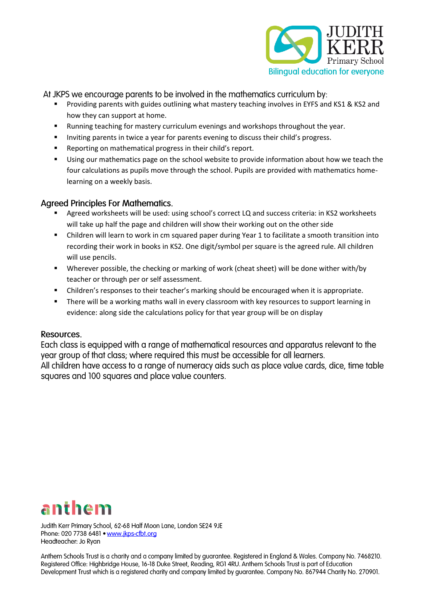

At JKPS we encourage parents to be involved in the mathematics curriculum by:

- Providing parents with guides outlining what mastery teaching involves in EYFS and KS1 & KS2 and how they can support at home.
- Running teaching for mastery curriculum evenings and workshops throughout the year.
- Inviting parents in twice a year for parents evening to discuss their child's progress.
- Reporting on mathematical progress in their child's report.
- Using our mathematics page on the school website to provide information about how we teach the four calculations as pupils move through the school. Pupils are provided with mathematics homelearning on a weekly basis.

### **Agreed Principles For Mathematics.**

- Agreed worksheets will be used: using school's correct LQ and success criteria: in KS2 worksheets will take up half the page and children will show their working out on the other side
- Children will learn to work in cm squared paper during Year 1 to facilitate a smooth transition into recording their work in books in KS2. One digit/symbol per square is the agreed rule. All children will use pencils.
- Wherever possible, the checking or marking of work (cheat sheet) will be done wither with/by teacher or through per or self assessment.
- Children's responses to their teacher's marking should be encouraged when it is appropriate.
- **•** There will be a working maths wall in every classroom with key resources to support learning in evidence: along side the calculations policy for that year group will be on display

#### Resources.

Each class is equipped with a range of mathematical resources and apparatus relevant to the year group of that class; where required this must be accessible for all learners. All children have access to a range of numeracy aids such as place value cards, dice, time table squares and 100 squares and place value counters.



Judith Kerr Primary School, 62-68 Half Moon Lane, London SE24 9JE Phone: 020 7738 6481 . www.jkps-cfbt.org Headteacher: Jo Ryan